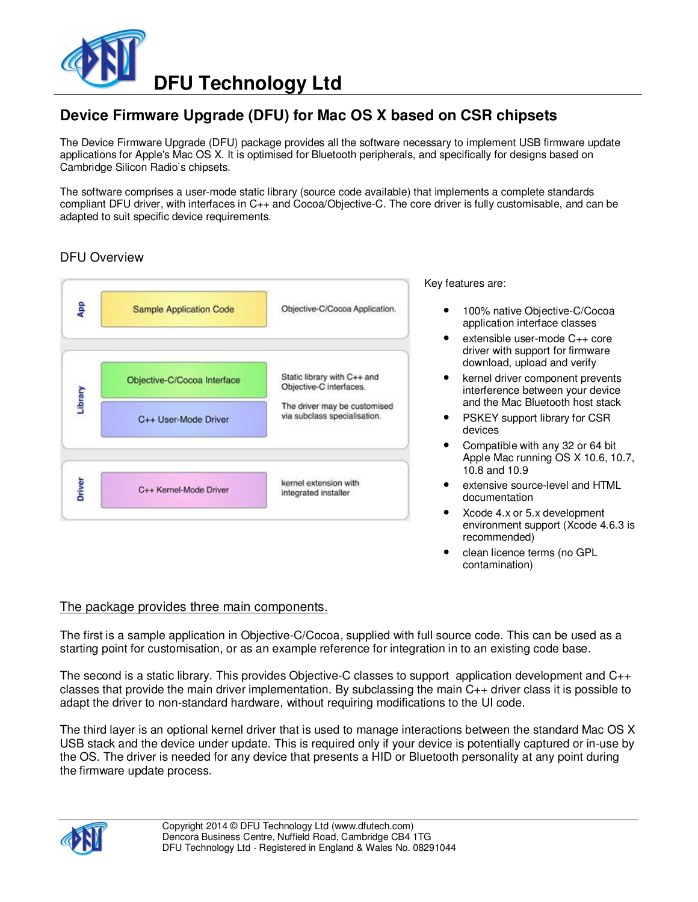

# **Device Firmware Upgrade (DFU) for Mac OS X based on CSR chipsets**

The Device Firmware Upgrade (DFU) package provides all the software necessary to implement USB firmware update applications for Apple's Mac OS X. It is optimised for Bluetooth peripherals, and specifically for designs based on Cambridge Silicon Radio's chipsets.

The software comprises a user-mode static library (source code available) that implements a complete standards compliant DFU driver, with interfaces in C++ and Cocoa/Objective-C. The core driver is fully customisable, and can be adapted to suit specific device requirements.

# DFU Overview



Key features are:

- 100% native Objective-C/Cocoa application interface classes
- extensible user-mode C++ core driver with support for firmware download, upload and verify
- kernel driver component prevents interference between your device and the Mac Bluetooth host stack
- PSKEY support library for CSR devices
- Compatible with any 32 or 64 bit Apple Mac running OS X 10.6, 10.7, 10.8 and 10.9
- extensive source-level and HTML documentation
- Xcode 4.x or 5.x development environment support (Xcode 4.6.3 is recommended)
- clean licence terms (no GPL contamination)

#### The package provides three main components.

The first is a sample application in Objective-C/Cocoa, supplied with full source code. This can be used as a starting point for customisation, or as an example reference for integration in to an existing code base.

The second is a static library. This provides Objective-C classes to support application development and C++ classes that provide the main driver implementation. By subclassing the main C++ driver class it is possible to adapt the driver to non-standard hardware, without requiring modifications to the UI code.

The third layer is an optional kernel driver that is used to manage interactions between the standard Mac OS X USB stack and the device under update. This is required only if your device is potentially captured or in-use by the OS. The driver is needed for any device that presents a HID or Bluetooth personality at any point during the firmware update process.